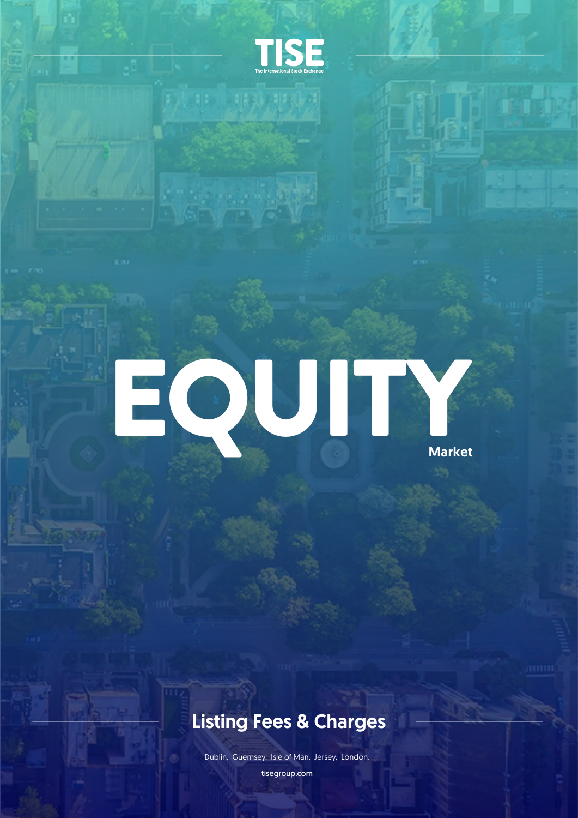

21 - 23 - 23 - 23 - 23

# EQUITY Market

# Listing Fees & Charges

Dublin. Guernsey. Isle of Man. Jersey. London.

tisegroup.com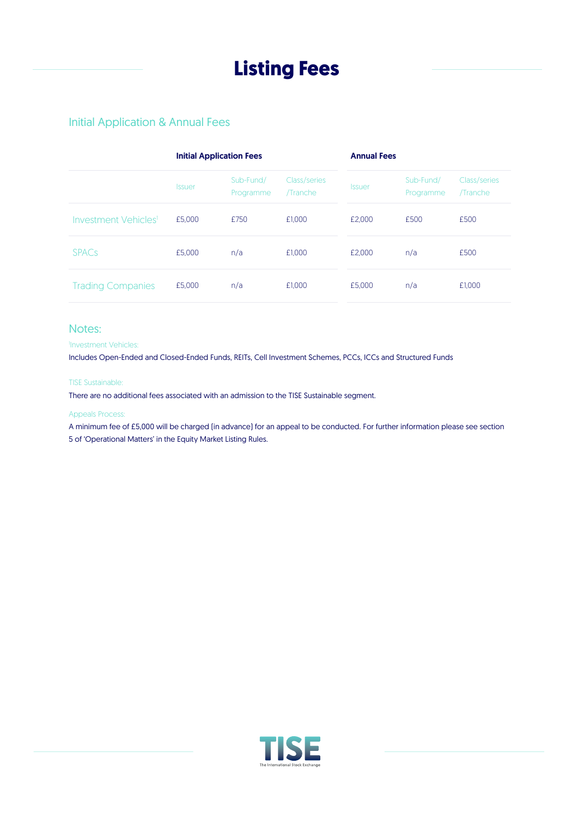# Initial Application & Annual Fees

|                                  | <b>Initial Application Fees</b> |                        |                          | <b>Annual Fees</b> |                        |                          |
|----------------------------------|---------------------------------|------------------------|--------------------------|--------------------|------------------------|--------------------------|
|                                  | <b>Issuer</b>                   | Sub-Fund/<br>Programme | Class/series<br>/Tranche | <b>Issuer</b>      | Sub-Fund/<br>Programme | Class/series<br>/Tranche |
| Investment Vehicles <sup>1</sup> | £5,000                          | £750                   | £1.000                   | £2,000             | £500                   | £500                     |
| <b>SPAC<sub>S</sub></b>          | £5,000                          | n/a                    | £1,000                   | £2,000             | n/a                    | £500                     |
| <b>Trading Companies</b>         | £5,000                          | n/a                    | £1,000                   | £5,000             | n/a                    | £1,000                   |

### Notes:

1 Investment Vehicles:

Includes Open-Ended and Closed-Ended Funds, REITs, Cell Investment Schemes, PCCs, ICCs and Structured Funds

### TISE Sustainable:

There are no additional fees associated with an admission to the TISE Sustainable segment.

### Appeals Process:

A minimum fee of £5,000 will be charged (in advance) for an appeal to be conducted. For further information please see section 5 of 'Operational Matters' in the Equity Market Listing Rules.

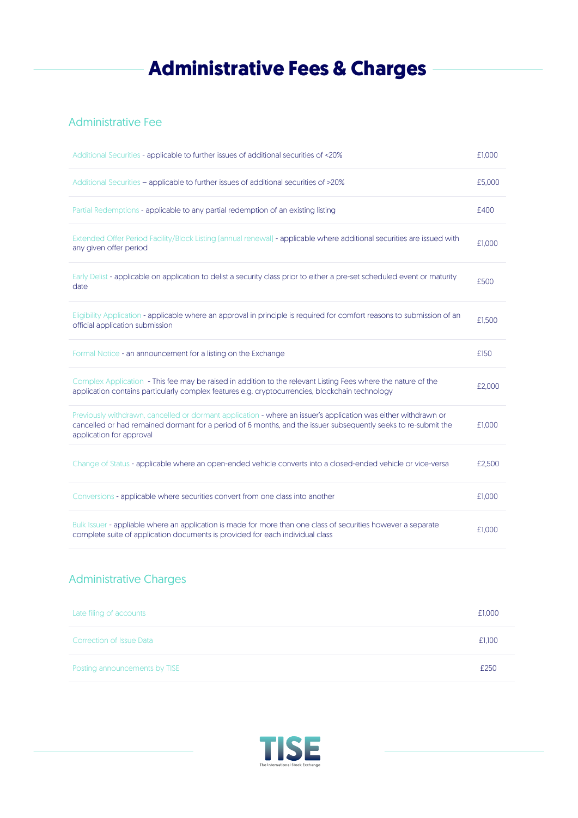# **Administrative Fees & Charges**

# Administrative Fee

| Additional Securities - applicable to further issues of additional securities of <20%                                                                                                                                                                        | £1,000 |
|--------------------------------------------------------------------------------------------------------------------------------------------------------------------------------------------------------------------------------------------------------------|--------|
| Additional Securities - applicable to further issues of additional securities of >20%                                                                                                                                                                        | £5,000 |
| Partial Redemptions - applicable to any partial redemption of an existing listing                                                                                                                                                                            | £400   |
| Extended Offer Period Facility/Block Listing [annual renewal] - applicable where additional securities are issued with<br>any given offer period                                                                                                             | £1,000 |
| Early Delist - applicable on application to delist a security class prior to either a pre-set scheduled event or maturity<br>date                                                                                                                            | £500   |
| Eligibility Application - applicable where an approval in principle is required for comfort reasons to submission of an<br>official application submission                                                                                                   | £1,500 |
|                                                                                                                                                                                                                                                              |        |
| Formal Notice - an announcement for a listing on the Exchange                                                                                                                                                                                                | £150   |
| Complex Application - This fee may be raised in addition to the relevant Listing Fees where the nature of the<br>application contains particularly complex features e.g. cryptocurrencies, blockchain technology                                             | £2,000 |
| Previously withdrawn, cancelled or dormant application - where an issuer's application was either withdrawn or<br>cancelled or had remained dormant for a period of 6 months, and the issuer subsequently seeks to re-submit the<br>application for approval | £1.000 |
| Change of Status - applicable where an open-ended vehicle converts into a closed-ended vehicle or vice-versa                                                                                                                                                 | £2,500 |
| Conversions - applicable where securities convert from one class into another                                                                                                                                                                                | £1,000 |

# Administrative Charges

| Late filing of accounts         | £1,000 |
|---------------------------------|--------|
| <b>Correction of Issue Data</b> | £1,100 |
| Posting announcements by TISE   | £250   |

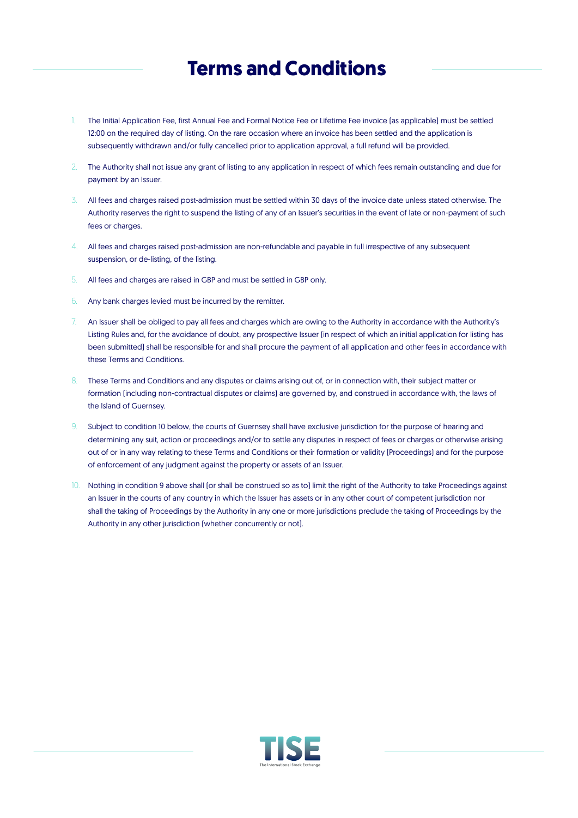# **Terms and Conditions**

- 1. The Initial Application Fee, first Annual Fee and Formal Notice Fee or Lifetime Fee invoice (as applicable) must be settled 12:00 on the required day of listing. On the rare occasion where an invoice has been settled and the application is subsequently withdrawn and/or fully cancelled prior to application approval, a full refund will be provided.
- 2. The Authority shall not issue any grant of listing to any application in respect of which fees remain outstanding and due for payment by an Issuer.
- 3. All fees and charges raised post-admission must be settled within 30 days of the invoice date unless stated otherwise. The Authority reserves the right to suspend the listing of any of an Issuer's securities in the event of late or non-payment of such fees or charges.
- 4. All fees and charges raised post-admission are non-refundable and payable in full irrespective of any subsequent suspension, or de-listing, of the listing.
- 5. All fees and charges are raised in GBP and must be settled in GBP only.
- 6. Any bank charges levied must be incurred by the remitter.
- 7. An Issuer shall be obliged to pay all fees and charges which are owing to the Authority in accordance with the Authority's Listing Rules and, for the avoidance of doubt, any prospective Issuer (in respect of which an initial application for listing has been submitted) shall be responsible for and shall procure the payment of all application and other fees in accordance with these Terms and Conditions.
- 8. These Terms and Conditions and any disputes or claims arising out of, or in connection with, their subject matter or formation (including non-contractual disputes or claims) are governed by, and construed in accordance with, the laws of the Island of Guernsey.
- 9. Subject to condition 10 below, the courts of Guernsey shall have exclusive jurisdiction for the purpose of hearing and determining any suit, action or proceedings and/or to settle any disputes in respect of fees or charges or otherwise arising out of or in any way relating to these Terms and Conditions or their formation or validity (Proceedings) and for the purpose of enforcement of any judgment against the property or assets of an Issuer.
- 10. Nothing in condition 9 above shall (or shall be construed so as to) limit the right of the Authority to take Proceedings against an Issuer in the courts of any country in which the Issuer has assets or in any other court of competent jurisdiction nor shall the taking of Proceedings by the Authority in any one or more jurisdictions preclude the taking of Proceedings by the Authority in any other jurisdiction (whether concurrently or not).